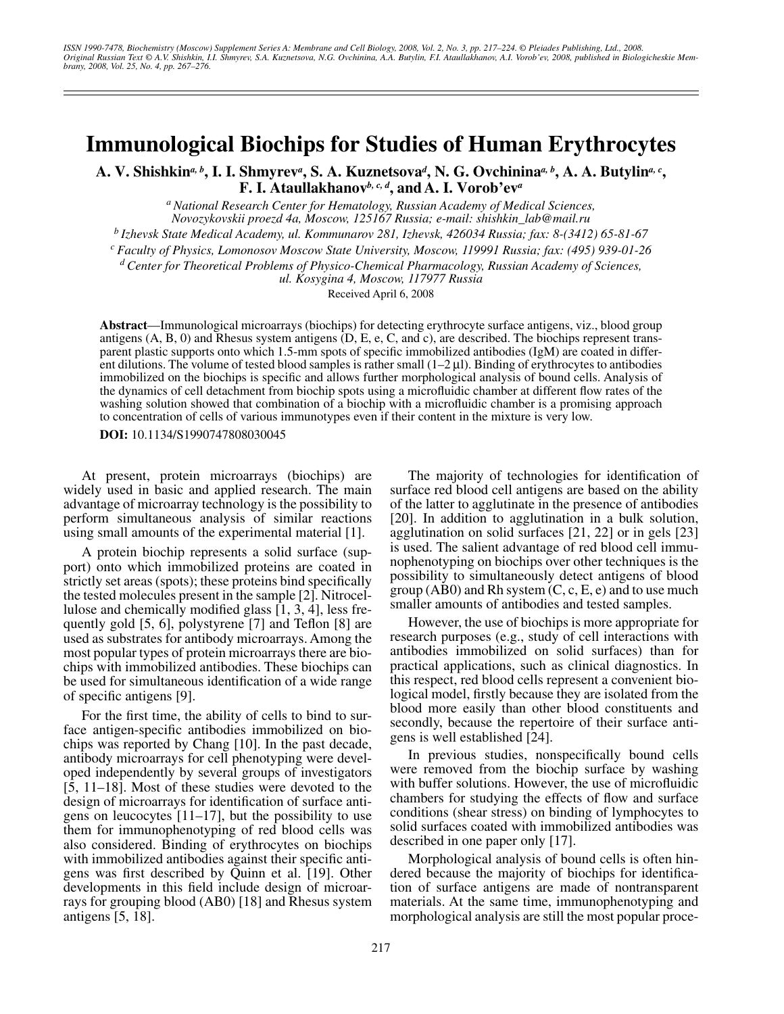# **Immunological Biochips for Studies of Human Erythrocytes**

A. V. Shishkin<sup>a, b</sup>, I. I. Shmyrev<sup>a</sup>, S. A. Kuznetsova<sup>d</sup>, N. G. Ovchinina<sup>a, b</sup>, A. A. Butylin<sup>a, c</sup>, **F. I. Ataullakhanov***b, c, d***, and A. I. Vorob'ev***<sup>a</sup>*

> *a National Research Center for Hematology, Russian Academy of Medical Sciences, Novozykovskii proezd 4a, Moscow, 125167 Russia; e-mail: shishkin\_lab@mail.ru*

*b Izhevsk State Medical Academy, ul. Kommunarov 281, Izhevsk, 426034 Russia; fax: 8-(3412) 65-81-67*

*c Faculty of Physics, Lomonosov Moscow State University, Moscow, 119991 Russia; fax: (495) 939-01-26*

*d Center for Theoretical Problems of Physico-Chemical Pharmacology, Russian Academy of Sciences,* 

*ul. Kosygina 4, Moscow, 117977 Russia*

Received April 6, 2008

**Abstract**—Immunological microarrays (biochips) for detecting erythrocyte surface antigens, viz., blood group antigens (A, B, 0) and Rhesus system antigens (D, E, e, C, and c), are described. The biochips represent transparent plastic supports onto which 1.5-mm spots of specific immobilized antibodies (IgM) are coated in different dilutions. The volume of tested blood samples is rather small  $(1-2 \mu l)$ . Binding of erythrocytes to antibodies immobilized on the biochips is specific and allows further morphological analysis of bound cells. Analysis of the dynamics of cell detachment from biochip spots using a microfluidic chamber at different flow rates of the washing solution showed that combination of a biochip with a microfluidic chamber is a promising approach to concentration of cells of various immunotypes even if their content in the mixture is very low.

**DOI:** 10.1134/S1990747808030045

At present, protein microarrays (biochips) are widely used in basic and applied research. The main advantage of microarray technology is the possibility to perform simultaneous analysis of similar reactions using small amounts of the experimental material [1].

A protein biochip represents a solid surface (support) onto which immobilized proteins are coated in strictly set areas (spots); these proteins bind specifically the tested molecules present in the sample [2]. Nitrocellulose and chemically modified glass [1, 3, 4], less frequently gold [5, 6], polystyrene [7] and Teflon [8] are used as substrates for antibody microarrays. Among the most popular types of protein microarrays there are biochips with immobilized antibodies. These biochips can be used for simultaneous identification of a wide range of specific antigens [9].

For the first time, the ability of cells to bind to surface antigen-specific antibodies immobilized on biochips was reported by Chang [10]. In the past decade, antibody microarrays for cell phenotyping were developed independently by several groups of investigators [5, 11–18]. Most of these studies were devoted to the design of microarrays for identification of surface antigens on leucocytes  $[11-17]$ , but the possibility to use them for immunophenotyping of red blood cells was also considered. Binding of erythrocytes on biochips with immobilized antibodies against their specific antigens was first described by Quinn et al. [19]. Other developments in this field include design of microarrays for grouping blood (AB0) [18] and Rhesus system antigens [5, 18].

The majority of technologies for identification of surface red blood cell antigens are based on the ability of the latter to agglutinate in the presence of antibodies [20]. In addition to agglutination in a bulk solution, agglutination on solid surfaces [21, 22] or in gels [23] is used. The salient advantage of red blood cell immunophenotyping on biochips over other techniques is the possibility to simultaneously detect antigens of blood group  $(AB0)$  and Rh system  $(C, c, E, e)$  and to use much smaller amounts of antibodies and tested samples.

However, the use of biochips is more appropriate for research purposes (e.g., study of cell interactions with antibodies immobilized on solid surfaces) than for practical applications, such as clinical diagnostics. In this respect, red blood cells represent a convenient biological model, firstly because they are isolated from the blood more easily than other blood constituents and secondly, because the repertoire of their surface antigens is well established [24].

In previous studies, nonspecifically bound cells were removed from the biochip surface by washing with buffer solutions. However, the use of microfluidic chambers for studying the effects of flow and surface conditions (shear stress) on binding of lymphocytes to solid surfaces coated with immobilized antibodies was described in one paper only [17].

Morphological analysis of bound cells is often hindered because the majority of biochips for identification of surface antigens are made of nontransparent materials. At the same time, immunophenotyping and morphological analysis are still the most popular proce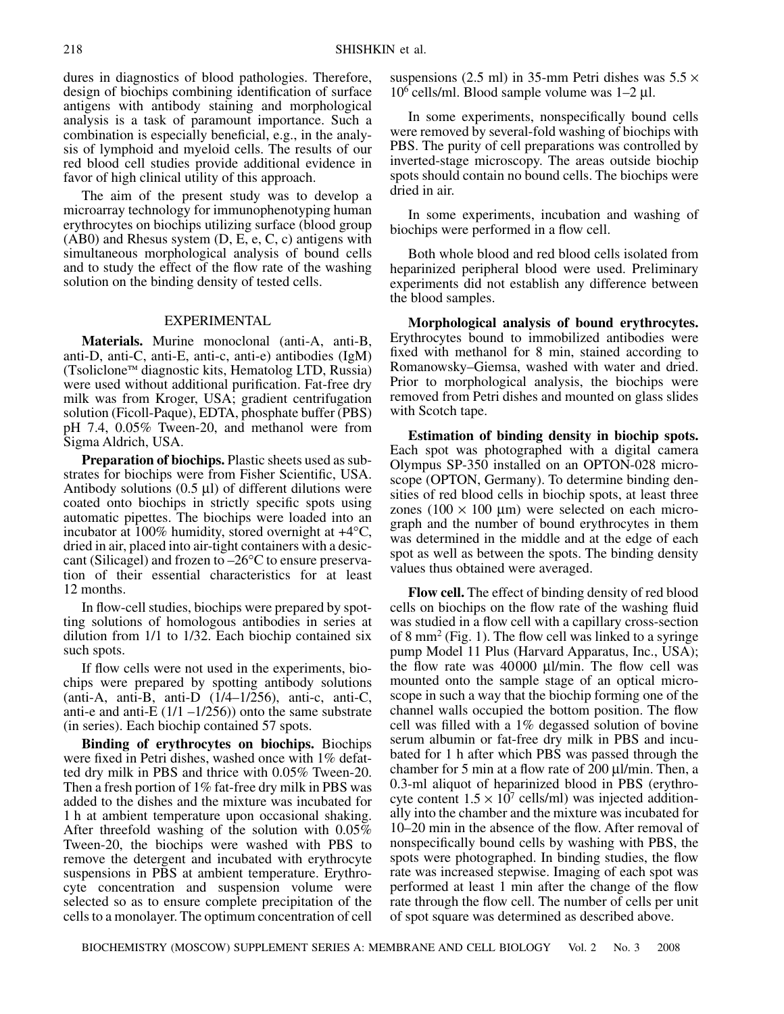dures in diagnostics of blood pathologies. Therefore, design of biochips combining identification of surface antigens with antibody staining and morphological analysis is a task of paramount importance. Such a combination is especially beneficial, e.g., in the analysis of lymphoid and myeloid cells. The results of our red blood cell studies provide additional evidence in favor of high clinical utility of this approach.

The aim of the present study was to develop a microarray technology for immunophenotyping human erythrocytes on biochips utilizing surface (blood group (AB0) and Rhesus system (D, E, e, C, c) antigens with simultaneous morphological analysis of bound cells and to study the effect of the flow rate of the washing solution on the binding density of tested cells.

## EXPERIMENTAL

**Materials.** Murine monoclonal (anti-A, anti-B, anti-D, anti-C, anti-E, anti-c, anti-e) antibodies (IgM) (Tsoliclone™ diagnostic kits, Hematolog LTD, Russia) were used without additional purification. Fat-free dry milk was from Kroger, USA; gradient centrifugation solution (Ficoll-Paque), EDTA, phosphate buffer (PBS) pH 7.4, 0.05% Tween-20, and methanol were from Sigma Aldrich, USA.

**Preparation of biochips.** Plastic sheets used as substrates for biochips were from Fisher Scientific, USA. Antibody solutions  $(0.5 \mu l)$  of different dilutions were coated onto biochips in strictly specific spots using automatic pipettes. The biochips were loaded into an incubator at 100% humidity, stored overnight at  $+4^{\circ}C$ , dried in air, placed into air-tight containers with a desiccant (Silicagel) and frozen to  $-26^{\circ}$ C to ensure preservation of their essential characteristics for at least 12 months.

In flow-cell studies, biochips were prepared by spotting solutions of homologous antibodies in series at dilution from 1/1 to 1/32. Each biochip contained six such spots.

If flow cells were not used in the experiments, biochips were prepared by spotting antibody solutions (anti-A, anti-B, anti-D  $(1/4-1/256)$ , anti-c, anti-C, anti-e and anti-E  $(1/1 - 1/256)$  onto the same substrate (in series). Each biochip contained 57 spots.

**Binding of erythrocytes on biochips.** Biochips were fixed in Petri dishes, washed once with 1% defatted dry milk in PBS and thrice with 0.05% Tween-20. Then a fresh portion of 1% fat-free dry milk in PBS was added to the dishes and the mixture was incubated for 1 h at ambient temperature upon occasional shaking. After threefold washing of the solution with 0.05% Tween-20, the biochips were washed with PBS to remove the detergent and incubated with erythrocyte suspensions in PBS at ambient temperature. Erythrocyte concentration and suspension volume were selected so as to ensure complete precipitation of the cells to a monolayer. The optimum concentration of cell suspensions (2.5 ml) in 35-mm Petri dishes was  $5.5 \times$  $10^6$  cells/ml. Blood sample volume was  $1-2 \mu$ l.

In some experiments, nonspecifically bound cells were removed by several-fold washing of biochips with PBS. The purity of cell preparations was controlled by inverted-stage microscopy. The areas outside biochip spots should contain no bound cells. The biochips were dried in air.

In some experiments, incubation and washing of biochips were performed in a flow cell.

Both whole blood and red blood cells isolated from heparinized peripheral blood were used. Preliminary experiments did not establish any difference between the blood samples.

**Morphological analysis of bound erythrocytes.** Erythrocytes bound to immobilized antibodies were fixed with methanol for 8 min, stained according to Romanowsky–Giemsa, washed with water and dried. Prior to morphological analysis, the biochips were removed from Petri dishes and mounted on glass slides with Scotch tape.

**Estimation of binding density in biochip spots.** Each spot was photographed with a digital camera Olympus SP-350 installed on an OPTON-028 microscope (OPTON, Germany). To determine binding densities of red blood cells in biochip spots, at least three zones (100  $\times$  100  $\mu$ m) were selected on each micrograph and the number of bound erythrocytes in them was determined in the middle and at the edge of each spot as well as between the spots. The binding density values thus obtained were averaged.

**Flow cell.** The effect of binding density of red blood cells on biochips on the flow rate of the washing fluid was studied in a flow cell with a capillary cross-section of 8 mm<sup>2</sup> (Fig. 1). The flow cell was linked to a syringe pump Model 11 Plus (Harvard Apparatus, Inc., USA); the flow rate was 40000  $\mu$ l/min. The flow cell was mounted onto the sample stage of an optical microscope in such a way that the biochip forming one of the channel walls occupied the bottom position. The flow cell was filled with a 1% degassed solution of bovine serum albumin or fat-free dry milk in PBS and incubated for 1 h after which PBS was passed through the chamber for 5 min at a flow rate of 200  $\mu$ l/min. Then, a 0.3-ml aliquot of heparinized blood in PBS (erythrocyte content  $1.5 \times 10^7$  cells/ml) was injected additionally into the chamber and the mixture was incubated for 10–20 min in the absence of the flow. After removal of nonspecifically bound cells by washing with PBS, the spots were photographed. In binding studies, the flow rate was increased stepwise. Imaging of each spot was performed at least 1 min after the change of the flow rate through the flow cell. The number of cells per unit of spot square was determined as described above.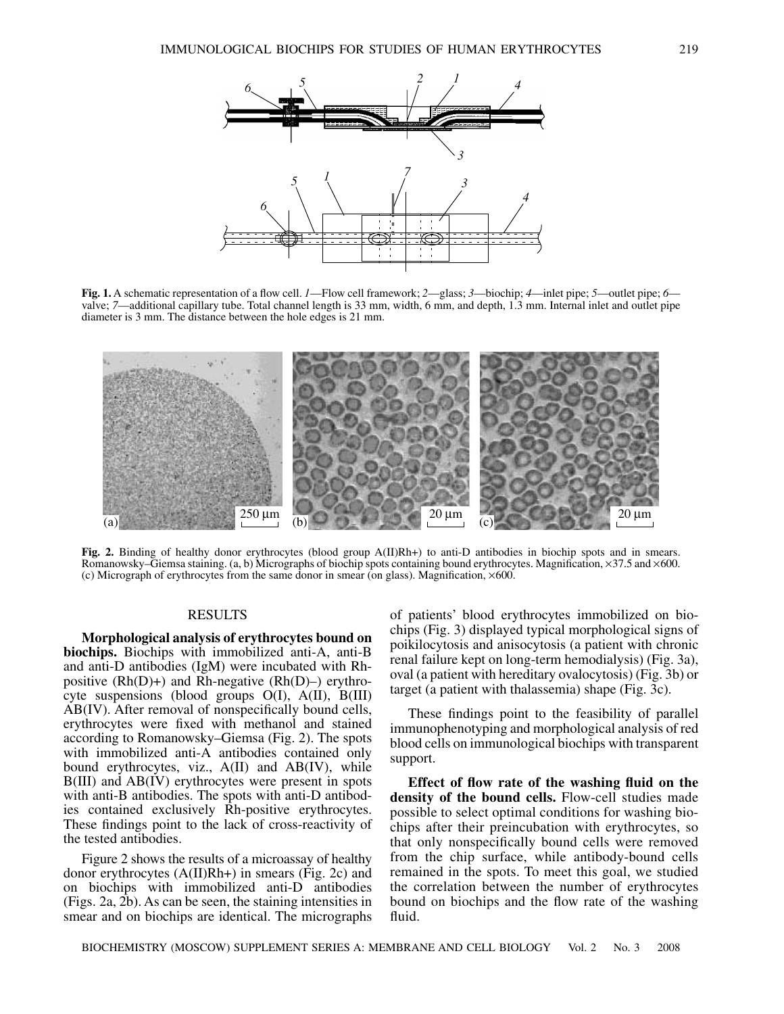

**Fig. 1.** A schematic representation of a flow cell. *1*—Flow cell framework; *2*—glass; *3*—biochip; *4*—inlet pipe; *5*—outlet pipe; *6* valve; *7*—additional capillary tube. Total channel length is 33 mm, width, 6 mm, and depth, 1.3 mm. Internal inlet and outlet pipe diameter is 3 mm. The distance between the hole edges is 21 mm.



**Fig. 2.** Binding of healthy donor erythrocytes (blood group A(II)Rh+) to anti-D antibodies in biochip spots and in smears. Romanowsky–Giemsa staining. (a, b) Micrographs of biochip spots containing bound erythrocytes. Magnification, ×37.5 and ×600. (c) Micrograph of erythrocytes from the same donor in smear (on glass). Magnification, ×600.

# RESULTS

**Morphological analysis of erythrocytes bound on biochips.** Biochips with immobilized anti-A, anti-B and anti-D antibodies (IgM) were incubated with Rhpositive  $(Rh(D)+)$  and Rh-negative  $(Rh(D)-)$  erythrocyte suspensions (blood groups O(I), A(II), B(III) AB(IV). After removal of nonspecifically bound cells, erythrocytes were fixed with methanol and stained according to Romanowsky–Giemsa (Fig. 2). The spots with immobilized anti-A antibodies contained only bound erythrocytes, viz., A(II) and AB(IV), while B(III) and AB(IV) erythrocytes were present in spots with anti-B antibodies. The spots with anti-D antibodies contained exclusively Rh-positive erythrocytes. These findings point to the lack of cross-reactivity of the tested antibodies.

Figure 2 shows the results of a microassay of healthy donor erythrocytes (A(II)Rh+) in smears (Fig. 2c) and on biochips with immobilized anti-D antibodies (Figs. 2a, 2b). As can be seen, the staining intensities in smear and on biochips are identical. The micrographs of patients' blood erythrocytes immobilized on biochips (Fig. 3) displayed typical morphological signs of poikilocytosis and anisocytosis (a patient with chronic renal failure kept on long-term hemodialysis) (Fig. 3a), oval (a patient with hereditary ovalocytosis) (Fig. 3b) or target (a patient with thalassemia) shape (Fig. 3c).

These findings point to the feasibility of parallel immunophenotyping and morphological analysis of red blood cells on immunological biochips with transparent support.

**Effect of flow rate of the washing fluid on the density of the bound cells.** Flow-cell studies made possible to select optimal conditions for washing biochips after their preincubation with erythrocytes, so that only nonspecifically bound cells were removed from the chip surface, while antibody-bound cells remained in the spots. To meet this goal, we studied the correlation between the number of erythrocytes bound on biochips and the flow rate of the washing fluid.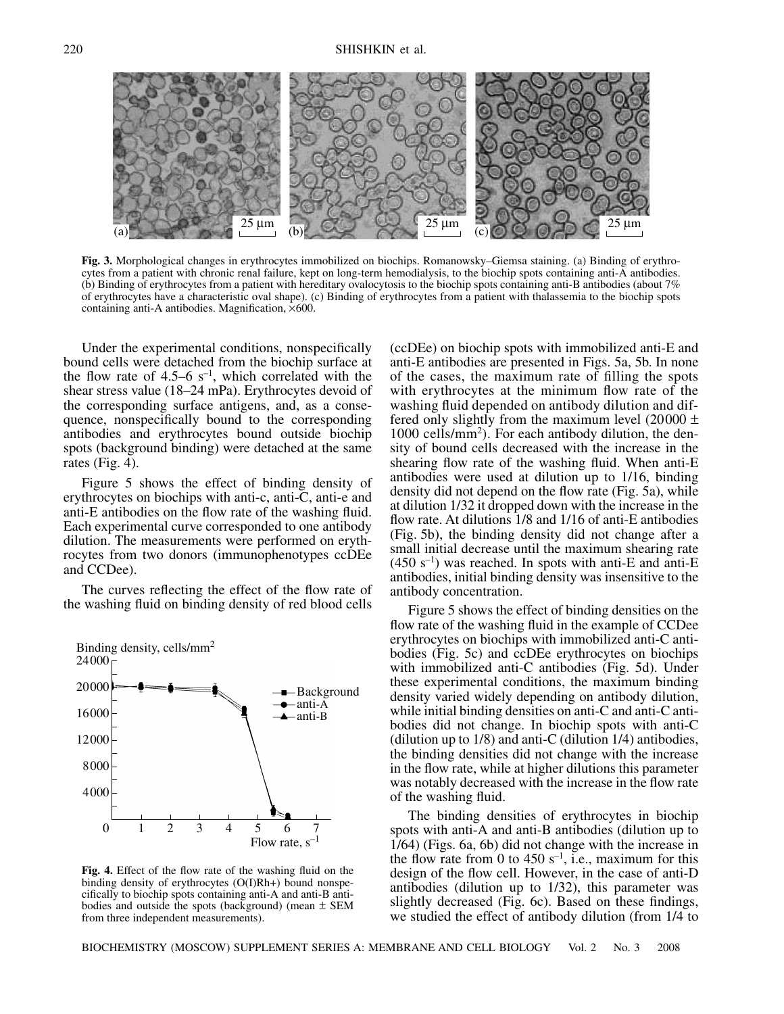

**Fig. 3.** Morphological changes in erythrocytes immobilized on biochips. Romanowsky–Giemsa staining. (a) Binding of erythrocytes from a patient with chronic renal failure, kept on long-term hemodialysis, to the biochip spots containing anti-A antibodies. (b) Binding of erythrocytes from a patient with hereditary ovalocytosis to the biochip spots containing anti-B antibodies (about 7% of erythrocytes have a characteristic oval shape). (c) Binding of erythrocytes from a patient with thalassemia to the biochip spots containing anti-A antibodies. Magnification, ×600.

Under the experimental conditions, nonspecifically bound cells were detached from the biochip surface at the flow rate of 4.5–6  $s^{-1}$ , which correlated with the shear stress value (18–24 mPa). Erythrocytes devoid of the corresponding surface antigens, and, as a consequence, nonspecifically bound to the corresponding antibodies and erythrocytes bound outside biochip spots (background binding) were detached at the same rates (Fig. 4).

Figure 5 shows the effect of binding density of erythrocytes on biochips with anti-c, anti-C, anti-e and anti-E antibodies on the flow rate of the washing fluid. Each experimental curve corresponded to one antibody dilution. The measurements were performed on erythrocytes from two donors (immunophenotypes ccDEe and CCDee).

The curves reflecting the effect of the flow rate of the washing fluid on binding density of red blood cells



**Fig. 4.** Effect of the flow rate of the washing fluid on the binding density of erythrocytes (O(I)Rh+) bound nonspecifically to biochip spots containing anti-A and anti-B antibodies and outside the spots (background) (mean  $\pm$  SEM from three independent measurements).

(ccDEe) on biochip spots with immobilized anti-E and anti-E antibodies are presented in Figs. 5a, 5b. In none of the cases, the maximum rate of filling the spots with erythrocytes at the minimum flow rate of the washing fluid depended on antibody dilution and differed only slightly from the maximum level  $(20000 \pm$ 1000 cells/mm2). For each antibody dilution, the density of bound cells decreased with the increase in the shearing flow rate of the washing fluid. When anti-E antibodies were used at dilution up to 1/16, binding density did not depend on the flow rate (Fig. 5a), while at dilution 1/32 it dropped down with the increase in the flow rate. At dilutions 1/8 and 1/16 of anti-E antibodies (Fig. 5b), the binding density did not change after a small initial decrease until the maximum shearing rate  $(450 \text{ s}^{-1})$  was reached. In spots with anti-E and anti-E antibodies, initial binding density was insensitive to the antibody concentration.

Figure 5 shows the effect of binding densities on the flow rate of the washing fluid in the example of CCDee erythrocytes on biochips with immobilized anti-C antibodies (Fig. 5c) and ccDEe erythrocytes on biochips with immobilized anti-C antibodies (Fig. 5d). Under these experimental conditions, the maximum binding density varied widely depending on antibody dilution, while initial binding densities on anti-C and anti-C antibodies did not change. In biochip spots with anti-C (dilution up to 1/8) and anti-C (dilution 1/4) antibodies, the binding densities did not change with the increase in the flow rate, while at higher dilutions this parameter was notably decreased with the increase in the flow rate of the washing fluid.

The binding densities of erythrocytes in biochip spots with anti-A and anti-B antibodies (dilution up to 1/64) (Figs. 6a, 6b) did not change with the increase in the flow rate from 0 to 450  $s^{-1}$ , i.e., maximum for this design of the flow cell. However, in the case of anti-D antibodies (dilution up to 1/32), this parameter was slightly decreased (Fig. 6c). Based on these findings, we studied the effect of antibody dilution (from 1/4 to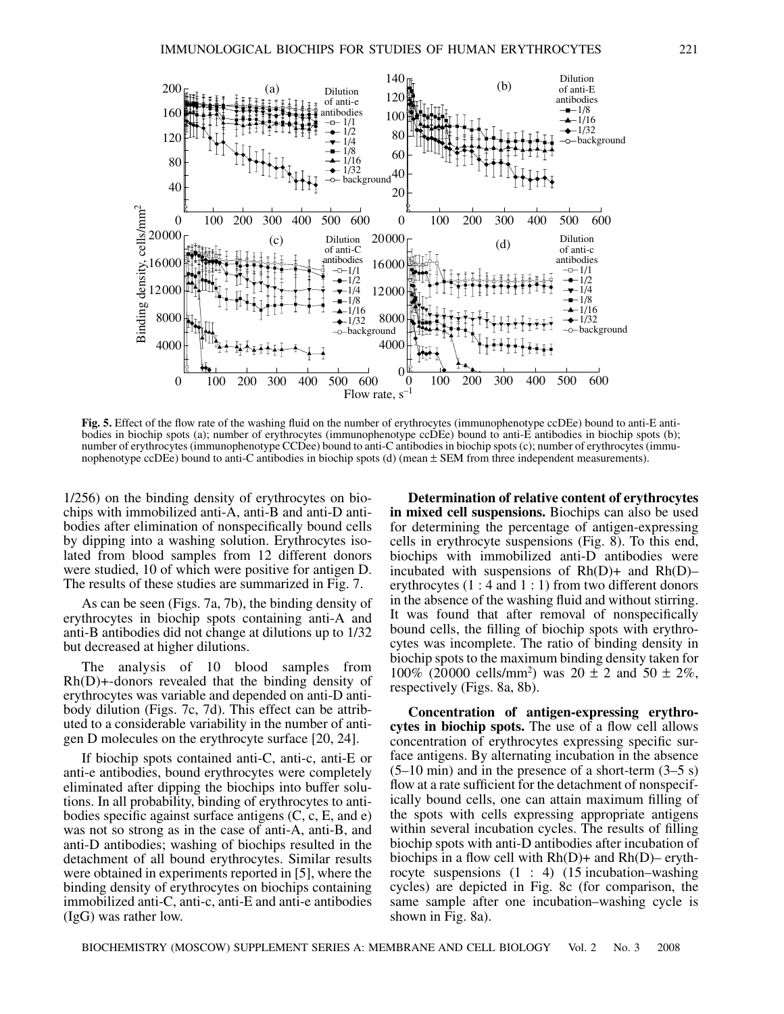

**Fig. 5.** Effect of the flow rate of the washing fluid on the number of erythrocytes (immunophenotype ccDEe) bound to anti-E antibodies in biochip spots (a); number of erythrocytes (immunophenotype ccDEe) bound to anti-E antibodies in biochip spots (b); number of erythrocytes (immunophenotype CCDee) bound to anti-C antibodies in biochip spots (c); number of erythrocytes (immunophenotype ccDEe) bound to anti-C antibodies in biochip spots (d) (mean  $\pm$  SEM from three independent measurements).

1/256) on the binding density of erythrocytes on biochips with immobilized anti-A, anti-B and anti-D antibodies after elimination of nonspecifically bound cells by dipping into a washing solution. Erythrocytes isolated from blood samples from 12 different donors were studied, 10 of which were positive for antigen D. The results of these studies are summarized in Fig. 7.

As can be seen (Figs. 7a, 7b), the binding density of erythrocytes in biochip spots containing anti-A and anti-B antibodies did not change at dilutions up to 1/32 but decreased at higher dilutions.

The analysis of 10 blood samples from Rh(D)+-donors revealed that the binding density of erythrocytes was variable and depended on anti-D antibody dilution (Figs. 7c, 7d). This effect can be attributed to a considerable variability in the number of antigen D molecules on the erythrocyte surface [20, 24].

If biochip spots contained anti-C, anti-c, anti-E or anti-e antibodies, bound erythrocytes were completely eliminated after dipping the biochips into buffer solutions. In all probability, binding of erythrocytes to antibodies specific against surface antigens (C, c, E, and e) was not so strong as in the case of anti-A, anti-B, and anti-D antibodies; washing of biochips resulted in the detachment of all bound erythrocytes. Similar results were obtained in experiments reported in [5], where the binding density of erythrocytes on biochips containing immobilized anti-C, anti-c, anti-E and anti-e antibodies (IgG) was rather low.

**Determination of relative content of erythrocytes in mixed cell suspensions.** Biochips can also be used for determining the percentage of antigen-expressing cells in erythrocyte suspensions (Fig. 8). To this end, biochips with immobilized anti-D antibodies were incubated with suspensions of  $Rh(D)$ + and  $Rh(D)$ – erythrocytes (1 : 4 and 1 : 1) from two different donors in the absence of the washing fluid and without stirring. It was found that after removal of nonspecifically bound cells, the filling of biochip spots with erythrocytes was incomplete. The ratio of binding density in biochip spots to the maximum binding density taken for  $100\%$  (20000 cells/mm<sup>2</sup>) was  $20 \pm 2$  and  $50 \pm 2\%$ , respectively (Figs. 8a, 8b).

**Concentration of antigen-expressing erythrocytes in biochip spots.** The use of a flow cell allows concentration of erythrocytes expressing specific surface antigens. By alternating incubation in the absence  $(5-10 \text{ min})$  and in the presence of a short-term  $(3-5 \text{ s})$ flow at a rate sufficient for the detachment of nonspecifically bound cells, one can attain maximum filling of the spots with cells expressing appropriate antigens within several incubation cycles. The results of filling biochip spots with anti-D antibodies after incubation of biochips in a flow cell with  $Rh(D)$ + and  $Rh(D)$ – erythrocyte suspensions (1 : 4) (15 incubation–washing cycles) are depicted in Fig. 8c (for comparison, the same sample after one incubation–washing cycle is shown in Fig. 8a).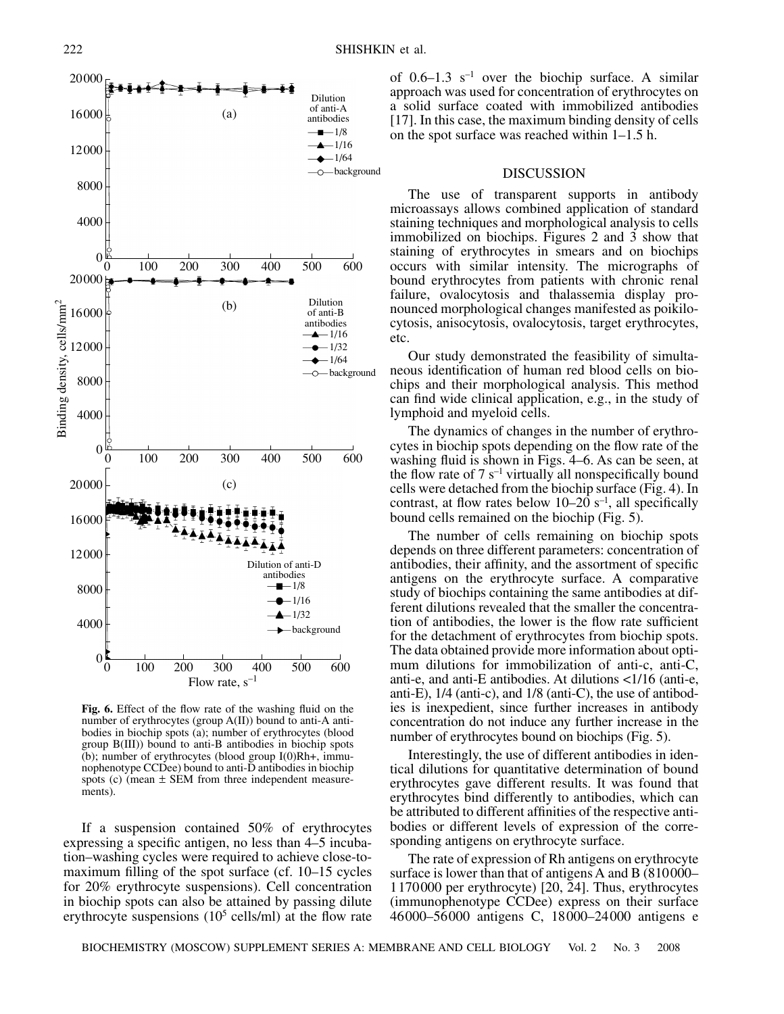



**Fig. 6.** Effect of the flow rate of the washing fluid on the number of erythrocytes (group A(II)) bound to anti-A antibodies in biochip spots (a); number of erythrocytes (blood group B(III)) bound to anti-B antibodies in biochip spots (b); number of erythrocytes (blood group I(0)Rh+, immunophenotype CCDee) bound to anti-D antibodies in biochip spots (c) (mean ± SEM from three independent measurements).

If a suspension contained 50% of erythrocytes expressing a specific antigen, no less than 4–5 incubation–washing cycles were required to achieve close-tomaximum filling of the spot surface (cf. 10–15 cycles for 20% erythrocyte suspensions). Cell concentration in biochip spots can also be attained by passing dilute erythrocyte suspensions  $(10^5 \text{ cells/ml})$  at the flow rate

of  $0.6-1.3$  s<sup>-1</sup> over the biochip surface. A similar approach was used for concentration of erythrocytes on a solid surface coated with immobilized antibodies [17]. In this case, the maximum binding density of cells on the spot surface was reached within 1–1.5 h.

#### DISCUSSION

The use of transparent supports in antibody microassays allows combined application of standard staining techniques and morphological analysis to cells immobilized on biochips. Figures 2 and 3 show that staining of erythrocytes in smears and on biochips occurs with similar intensity. The micrographs of bound erythrocytes from patients with chronic renal failure, ovalocytosis and thalassemia display pronounced morphological changes manifested as poikilocytosis, anisocytosis, ovalocytosis, target erythrocytes, etc.

Our study demonstrated the feasibility of simultaneous identification of human red blood cells on biochips and their morphological analysis. This method can find wide clinical application, e.g., in the study of lymphoid and myeloid cells.

The dynamics of changes in the number of erythrocytes in biochip spots depending on the flow rate of the washing fluid is shown in Figs. 4–6. As can be seen, at the flow rate of 7  $s^{-1}$  virtually all nonspecifically bound cells were detached from the biochip surface (Fig. 4). In contrast, at flow rates below  $10-20$  s<sup>-1</sup>, all specifically bound cells remained on the biochip (Fig. 5).

The number of cells remaining on biochip spots depends on three different parameters: concentration of antibodies, their affinity, and the assortment of specific antigens on the erythrocyte surface. A comparative study of biochips containing the same antibodies at different dilutions revealed that the smaller the concentration of antibodies, the lower is the flow rate sufficient for the detachment of erythrocytes from biochip spots. The data obtained provide more information about optimum dilutions for immobilization of anti-c, anti-C, anti-e, and anti-E antibodies. At dilutions <1/16 (anti-e, anti-E), 1/4 (anti-c), and 1/8 (anti-C), the use of antibodies is inexpedient, since further increases in antibody concentration do not induce any further increase in the number of erythrocytes bound on biochips (Fig. 5).

Interestingly, the use of different antibodies in identical dilutions for quantitative determination of bound erythrocytes gave different results. It was found that erythrocytes bind differently to antibodies, which can be attributed to different affinities of the respective antibodies or different levels of expression of the corresponding antigens on erythrocyte surface.

The rate of expression of Rh antigens on erythrocyte surface is lower than that of antigens A and B (810000– 1170000 per erythrocyte) [20, 24]. Thus, erythrocytes (immunophenotype CCDee) express on their surface 46000–56000 antigens C, 18000–24000 antigens e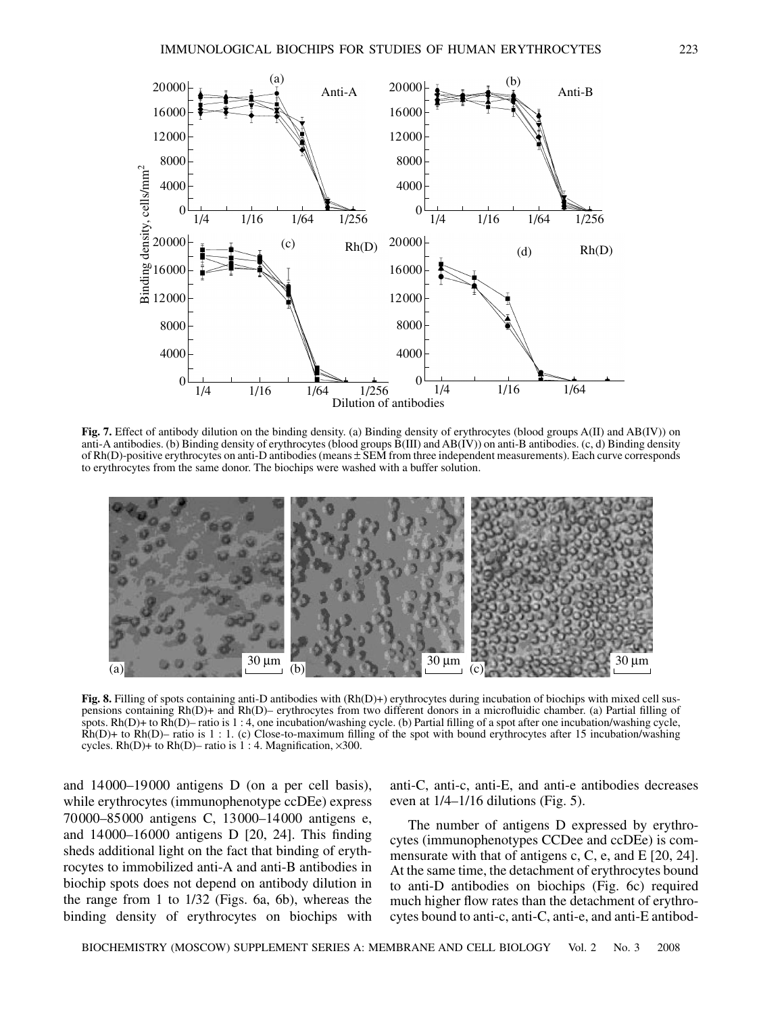

**Fig. 7.** Effect of antibody dilution on the binding density. (a) Binding density of erythrocytes (blood groups A(II) and AB(IV)) on anti-A antibodies. (b) Binding density of erythrocytes (blood groups B(III) and AB(IV)) on anti-B antibodies. (c, d) Binding density of Rh(D)-positive erythrocytes on anti-D antibodies (means ± SEM from three independent measurements). Each curve corresponds to erythrocytes from the same donor. The biochips were washed with a buffer solution.



**Fig. 8.** Filling of spots containing anti-D antibodies with (Rh(D)+) erythrocytes during incubation of biochips with mixed cell suspensions containing Rh(D)+ and Rh(D)– erythrocytes from two different donors in a microfluidic chamber. (a) Partial filling of spots. Rh(D)+ to Rh(D)– ratio is 1 : 4, one incubation/washing cycle. (b) Partial filling of a spot after one incubation/washing cycle,  $\dot{R}h(D)$ + to  $\dot{R}h(D)$ – ratio is 1 : 1. (c) Close-to-maximum filling of the spot with bound erythrocytes after 15 incubation/washing cycles. Rh(D)+ to Rh(D)– ratio is 1 : 4. Magnification,  $\times 300$ .

and 14000–19000 antigens D (on a per cell basis), while erythrocytes (immunophenotype ccDEe) express 70000–85000 antigens C, 13000–14000 antigens e, and 14000–16000 antigens D [20, 24]. This finding sheds additional light on the fact that binding of erythrocytes to immobilized anti-A and anti-B antibodies in biochip spots does not depend on antibody dilution in the range from 1 to 1/32 (Figs. 6a, 6b), whereas the binding density of erythrocytes on biochips with

anti-C, anti-c, anti-E, and anti-e antibodies decreases even at 1/4–1/16 dilutions (Fig. 5).

The number of antigens D expressed by erythrocytes (immunophenotypes CCDee and ccDEe) is commensurate with that of antigens c, C, e, and E [20, 24]. At the same time, the detachment of erythrocytes bound to anti-D antibodies on biochips (Fig. 6c) required much higher flow rates than the detachment of erythrocytes bound to anti-c, anti-C, anti-e, and anti-E antibod